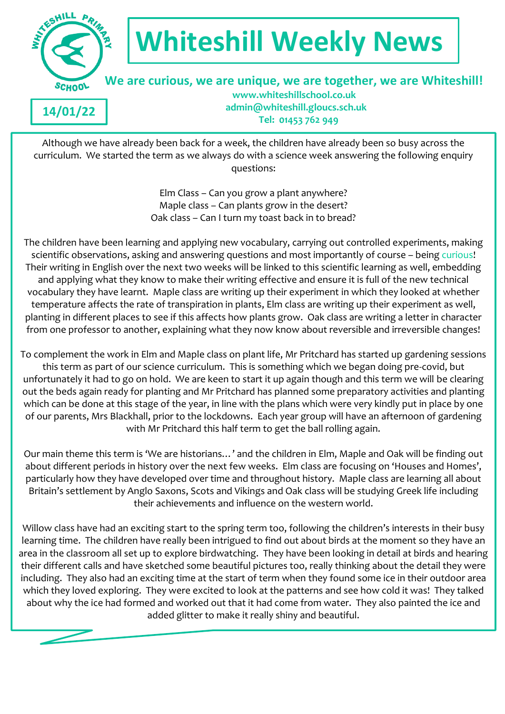

# **Whiteshill Weekly News**

 **We are curious, we are unique, we are together, we are Whiteshill!**

**14/01/22**

 **www.whiteshillschool.co.uk admin@whiteshill.gloucs.sch.uk Tel: 01453 762 949**

Although we have already been back for a week, the children have already been so busy across the curriculum. We started the term as we always do with a science week answering the following enquiry questions:

> Elm Class – Can you grow a plant anywhere? Maple class – Can plants grow in the desert? Oak class – Can I turn my toast back in to bread?

The children have been learning and applying new vocabulary, carrying out controlled experiments, making scientific observations, asking and answering questions and most importantly of course - being curious! Their writing in English over the next two weeks will be linked to this scientific learning as well, embedding and applying what they know to make their writing effective and ensure it is full of the new technical vocabulary they have learnt. Maple class are writing up their experiment in which they looked at whether temperature affects the rate of transpiration in plants, Elm class are writing up their experiment as well, planting in different places to see if this affects how plants grow. Oak class are writing a letter in character from one professor to another, explaining what they now know about reversible and irreversible changes!

To complement the work in Elm and Maple class on plant life, Mr Pritchard has started up gardening sessions this term as part of our science curriculum. This is something which we began doing pre-covid, but unfortunately it had to go on hold. We are keen to start it up again though and this term we will be clearing out the beds again ready for planting and Mr Pritchard has planned some preparatory activities and planting which can be done at this stage of the year, in line with the plans which were very kindly put in place by one of our parents, Mrs Blackhall, prior to the lockdowns. Each year group will have an afternoon of gardening with Mr Pritchard this half term to get the ball rolling again.

Our main theme this term is 'We are historians…' and the children in Elm, Maple and Oak will be finding out about different periods in history over the next few weeks. Elm class are focusing on 'Houses and Homes', particularly how they have developed over time and throughout history. Maple class are learning all about Britain's settlement by Anglo Saxons, Scots and Vikings and Oak class will be studying Greek life including their achievements and influence on the western world.

Willow class have had an exciting start to the spring term too, following the children's interests in their busy learning time. The children have really been intrigued to find out about birds at the moment so they have an area in the classroom all set up to explore birdwatching. They have been looking in detail at birds and hearing their different calls and have sketched some beautiful pictures too, really thinking about the detail they were including. They also had an exciting time at the start of term when they found some ice in their outdoor area which they loved exploring. They were excited to look at the patterns and see how cold it was! They talked about why the ice had formed and worked out that it had come from water. They also painted the ice and added glitter to make it really shiny and beautiful.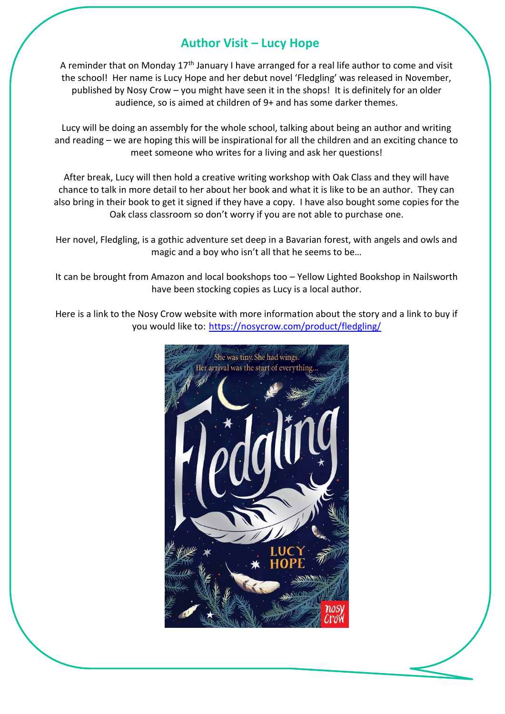## **Author Visit – Lucy Hope**

A reminder that on Monday  $17<sup>th</sup>$  January I have arranged for a real life author to come and visit the school! Her name is Lucy Hope and her debut novel 'Fledgling' was released in November, published by Nosy Crow – you might have seen it in the shops! It is definitely for an older audience, so is aimed at children of 9+ and has some darker themes.

Lucy will be doing an assembly for the whole school, talking about being an author and writing and reading – we are hoping this will be inspirational for all the children and an exciting chance to meet someone who writes for a living and ask her questions!

After break, Lucy will then hold a creative writing workshop with Oak Class and they will have chance to talk in more detail to her about her book and what it is like to be an author. They can also bring in their book to get it signed if they have a copy. I have also bought some copies for the Oak class classroom so don't worry if you are not able to purchase one.

Her novel, Fledgling, is a gothic adventure set deep in a Bavarian forest, with angels and owls and magic and a boy who isn't all that he seems to be…

It can be brought from Amazon and local bookshops too – Yellow Lighted Bookshop in Nailsworth have been stocking copies as Lucy is a local author.

Here is a link to the Nosy Crow website with more information about the story and a link to buy if you would like to: <https://nosycrow.com/product/fledgling/>

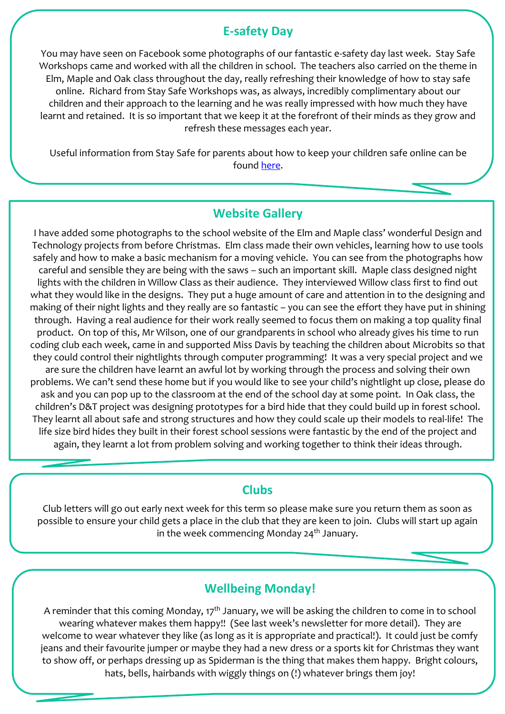### **E-safety Day**

You may have seen on Facebook some photographs of our fantastic e-safety day last week. Stay Safe Workshops came and worked with all the children in school. The teachers also carried on the theme in Elm, Maple and Oak class throughout the day, really refreshing their knowledge of how to stay safe online. Richard from Stay Safe Workshops was, as always, incredibly complimentary about our children and their approach to the learning and he was really impressed with how much they have learnt and retained. It is so important that we keep it at the forefront of their minds as they grow and refresh these messages each year.

Useful information from Stay Safe for parents about how to keep your children safe online can be found [here.](https://thestaysafeinitiative.org.uk/wp-content/uploads/2021/02/Parents_Online_Safety_Advice_Sheet.pdf?fbclid=IwAR3wrdJaWZbEX8iXEV2fnI5BKlavgu3inv06o8ycBPuugVMe-7tYs-GBtC0)

#### **Website Gallery**

I have added some photographs to the school website of the Elm and Maple class' wonderful Design and Technology projects from before Christmas. Elm class made their own vehicles, learning how to use tools safely and how to make a basic mechanism for a moving vehicle. You can see from the photographs how careful and sensible they are being with the saws – such an important skill. Maple class designed night lights with the children in Willow Class as their audience. They interviewed Willow class first to find out what they would like in the designs. They put a huge amount of care and attention in to the designing and making of their night lights and they really are so fantastic – you can see the effort they have put in shining through. Having a real audience for their work really seemed to focus them on making a top quality final product. On top of this, Mr Wilson, one of our grandparents in school who already gives his time to run coding club each week, came in and supported Miss Davis by teaching the children about Microbits so that they could control their nightlights through computer programming! It was a very special project and we are sure the children have learnt an awful lot by working through the process and solving their own problems. We can't send these home but if you would like to see your child's nightlight up close, please do ask and you can pop up to the classroom at the end of the school day at some point. In Oak class, the children's D&T project was designing prototypes for a bird hide that they could build up in forest school. They learnt all about safe and strong structures and how they could scale up their models to real-life! The life size bird hides they built in their forest school sessions were fantastic by the end of the project and again, they learnt a lot from problem solving and working together to think their ideas through.

#### **Clubs**

Club letters will go out early next week for this term so please make sure you return them as soon as possible to ensure your child gets a place in the club that they are keen to join. Clubs will start up again in the week commencing Monday  $24<sup>th</sup>$  January.

## **Wellbeing Monday!**

A reminder that this coming Monday, 17<sup>th</sup> January, we will be asking the children to come in to school wearing whatever makes them happy!! (See last week's newsletter for more detail). They are welcome to wear whatever they like (as long as it is appropriate and practical!). It could just be comfy jeans and their favourite jumper or maybe they had a new dress or a sports kit for Christmas they want to show off, or perhaps dressing up as Spiderman is the thing that makes them happy. Bright colours, hats, bells, hairbands with wiggly things on (!) whatever brings them joy!